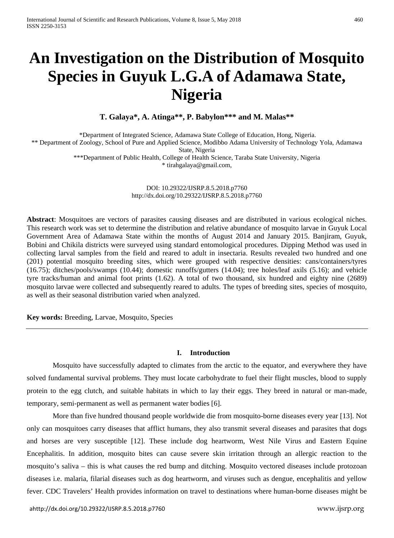# **An Investigation on the Distribution of Mosquito Species in Guyuk L.G.A of Adamawa State, Nigeria**

**T. Galaya\*, A. Atinga\*\*, P. Babylon\*\*\* and M. Malas\*\***

\*Department of Integrated Science, Adamawa State College of Education, Hong, Nigeria. \*\* Department of Zoology, School of Pure and Applied Science, Modibbo Adama University of Technology Yola, Adamawa State, Nigeria \*\*\*Department of Public Health, College of Health Science, Taraba State University, Nigeria \* [tirahgalaya@gmail.com,](mailto:tirahgalaya@gmail.com)

> DOI: 10.29322/IJSRP.8.5.2018.p7760 <http://dx.doi.org/10.29322/IJSRP.8.5.2018.p7760>

**Abstract**: Mosquitoes are vectors of parasites causing diseases and are distributed in various ecological niches. This research work was set to determine the distribution and relative abundance of mosquito larvae in Guyuk Local Government Area of Adamawa State within the months of August 2014 and January 2015. Banjiram, Guyuk, Bobini and Chikila districts were surveyed using standard entomological procedures. Dipping Method was used in collecting larval samples from the field and reared to adult in insectaria. Results revealed two hundred and one (201) potential mosquito breeding sites, which were grouped with respective densities: cans/containers/tyres (16.75); ditches/pools/swamps (10.44); domestic runoffs/gutters (14.04); tree holes/leaf axils (5.16); and vehicle tyre tracks/human and animal foot prints (1.62). A total of two thousand, six hundred and eighty nine (2689) mosquito larvae were collected and subsequently reared to adults. The types of breeding sites, species of mosquito, as well as their seasonal distribution varied when analyzed.

**Key words:** Breeding, Larvae, Mosquito, Species

#### **I. Introduction**

Mosquito have successfully adapted to climates from the arctic to the equator, and everywhere they have solved fundamental survival problems. They must locate carbohydrate to fuel their flight muscles, blood to supply protein to the egg clutch, and suitable habitats in which to lay their eggs. They breed in natural or man-made, temporary, semi-permanent as well as permanent water bodies [6].

More than five hundred thousand people worldwide die from mosquito-borne diseases every year [13]. Not only can mosquitoes carry diseases that afflict humans, they also transmit several diseases and parasites that dogs and horses are very susceptible [12]. These include dog heartworm, West Nile Virus and Eastern Equine Encephalitis. In addition, mosquito bites can cause severe skin irritation through an allergic reaction to the mosquito's saliva – this is what causes the red bump and ditching. Mosquito vectored diseases include protozoan diseases i.e. malaria, filarial diseases such as dog heartworm, and viruses such as dengue, encephalitis and yellow fever. CDC Travelers' Health provides information on travel to destinations where human-borne diseases might be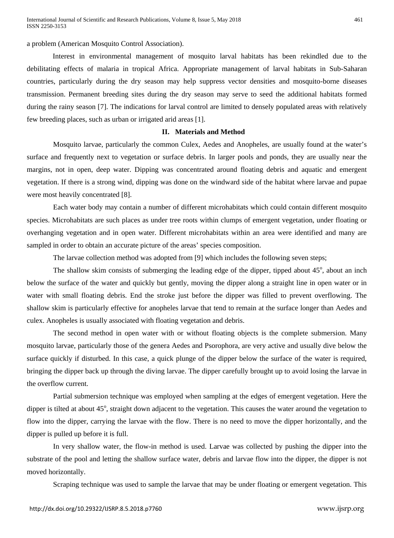a problem (American Mosquito Control Association).

Interest in environmental management of mosquito larval habitats has been rekindled due to the debilitating effects of malaria in tropical Africa. Appropriate management of larval habitats in Sub-Saharan countries, particularly during the dry season may help suppress vector densities and mosquito-borne diseases transmission. Permanent breeding sites during the dry season may serve to seed the additional habitats formed during the rainy season [7]. The indications for larval control are limited to densely populated areas with relatively few breeding places, such as urban or irrigated arid areas [1].

## **II. Materials and Method**

Mosquito larvae, particularly the common Culex, Aedes and Anopheles, are usually found at the water's surface and frequently next to vegetation or surface debris. In larger pools and ponds, they are usually near the margins, not in open, deep water. Dipping was concentrated around floating debris and aquatic and emergent vegetation. If there is a strong wind, dipping was done on the windward side of the habitat where larvae and pupae were most heavily concentrated [8].

Each water body may contain a number of different microhabitats which could contain different mosquito species. Microhabitats are such places as under tree roots within clumps of emergent vegetation, under floating or overhanging vegetation and in open water. Different microhabitats within an area were identified and many are sampled in order to obtain an accurate picture of the areas' species composition.

The larvae collection method was adopted from [9] which includes the following seven steps;

The shallow skim consists of submerging the leading edge of the dipper, tipped about 45°, about an inch below the surface of the water and quickly but gently, moving the dipper along a straight line in open water or in water with small floating debris. End the stroke just before the dipper was filled to prevent overflowing. The shallow skim is particularly effective for anopheles larvae that tend to remain at the surface longer than Aedes and culex. Anopheles is usually associated with floating vegetation and debris.

The second method in open water with or without floating objects is the complete submersion. Many mosquito larvae, particularly those of the genera Aedes and Psorophora, are very active and usually dive below the surface quickly if disturbed. In this case, a quick plunge of the dipper below the surface of the water is required, bringing the dipper back up through the diving larvae. The dipper carefully brought up to avoid losing the larvae in the overflow current.

Partial submersion technique was employed when sampling at the edges of emergent vegetation. Here the dipper is tilted at about 45°, straight down adjacent to the vegetation. This causes the water around the vegetation to flow into the dipper, carrying the larvae with the flow. There is no need to move the dipper horizontally, and the dipper is pulled up before it is full.

In very shallow water, the flow-in method is used. Larvae was collected by pushing the dipper into the substrate of the pool and letting the shallow surface water, debris and larvae flow into the dipper, the dipper is not moved horizontally.

Scraping technique was used to sample the larvae that may be under floating or emergent vegetation. This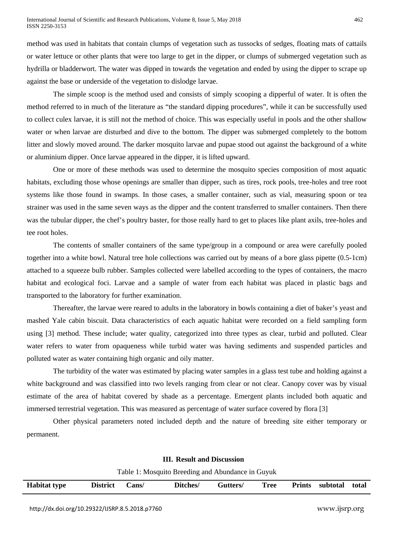method was used in habitats that contain clumps of vegetation such as tussocks of sedges, floating mats of cattails or water lettuce or other plants that were too large to get in the dipper, or clumps of submerged vegetation such as hydrilla or bladderwort. The water was dipped in towards the vegetation and ended by using the dipper to scrape up against the base or underside of the vegetation to dislodge larvae.

The simple scoop is the method used and consists of simply scooping a dipperful of water. It is often the method referred to in much of the literature as "the standard dipping procedures", while it can be successfully used to collect culex larvae, it is still not the method of choice. This was especially useful in pools and the other shallow water or when larvae are disturbed and dive to the bottom. The dipper was submerged completely to the bottom litter and slowly moved around. The darker mosquito larvae and pupae stood out against the background of a white or aluminium dipper. Once larvae appeared in the dipper, it is lifted upward.

One or more of these methods was used to determine the mosquito species composition of most aquatic habitats, excluding those whose openings are smaller than dipper, such as tires, rock pools, tree-holes and tree root systems like those found in swamps. In those cases, a smaller container, such as vial, measuring spoon or tea strainer was used in the same seven ways as the dipper and the content transferred to smaller containers. Then there was the tubular dipper, the chef's poultry baster, for those really hard to get to places like plant axils, tree-holes and tee root holes.

The contents of smaller containers of the same type/group in a compound or area were carefully pooled together into a white bowl. Natural tree hole collections was carried out by means of a bore glass pipette (0.5-1cm) attached to a squeeze bulb rubber. Samples collected were labelled according to the types of containers, the macro habitat and ecological foci. Larvae and a sample of water from each habitat was placed in plastic bags and transported to the laboratory for further examination.

Thereafter, the larvae were reared to adults in the laboratory in bowls containing a diet of baker's yeast and mashed Yale cabin biscuit. Data characteristics of each aquatic habitat were recorded on a field sampling form using [3] method. These include; water quality, categorized into three types as clear, turbid and polluted. Clear water refers to water from opaqueness while turbid water was having sediments and suspended particles and polluted water as water containing high organic and oily matter.

The turbidity of the water was estimated by placing water samples in a glass test tube and holding against a white background and was classified into two levels ranging from clear or not clear. Canopy cover was by visual estimate of the area of habitat covered by shade as a percentage. Emergent plants included both aquatic and immersed terrestrial vegetation. This was measured as percentage of water surface covered by flora [3]

Other physical parameters noted included depth and the nature of breeding site either temporary or permanent.

|                     | Table 1: Mosquito Breeding and Abundance in Guyuk |       |          |          |      |  |                        |       |  |
|---------------------|---------------------------------------------------|-------|----------|----------|------|--|------------------------|-------|--|
| <b>Habitat type</b> | <b>District</b>                                   | Cans/ | Ditches/ | Gutters/ | Tree |  | <b>Prints</b> subtotal | total |  |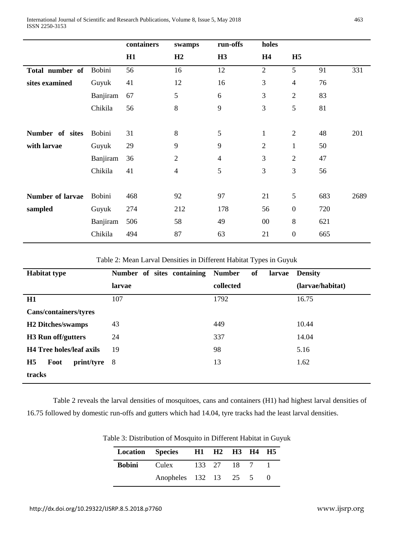|                  |               | containers | swamps         | run-offs       | holes          |                  |     |      |
|------------------|---------------|------------|----------------|----------------|----------------|------------------|-----|------|
|                  |               | H1         | H2             | H3             | H <sub>4</sub> | H <sub>5</sub>   |     |      |
| Total number of  | Bobini        | 56         | 16             | 12             | $\mathfrak{2}$ | 5                | 91  | 331  |
| sites examined   | Guyuk         | 41         | 12             | 16             | 3              | $\overline{4}$   | 76  |      |
|                  | Banjiram      | 67         | 5              | 6              | 3              | $\overline{2}$   | 83  |      |
|                  | Chikila       | 56         | $\,8\,$        | 9              | 3              | 5                | 81  |      |
|                  |               |            |                |                |                |                  |     |      |
| Number of sites  | <b>Bobini</b> | 31         | 8              | 5              | $\mathbf{1}$   | $\overline{2}$   | 48  | 201  |
| with larvae      | Guyuk         | 29         | 9              | 9              | $\mathfrak{2}$ | 1                | 50  |      |
|                  | Banjiram      | 36         | $\mathbf{2}$   | $\overline{4}$ | 3              | $\overline{2}$   | 47  |      |
|                  | Chikila       | 41         | $\overline{4}$ | 5              | 3              | 3                | 56  |      |
|                  |               |            |                |                |                |                  |     |      |
| Number of larvae | <b>Bobini</b> | 468        | 92             | 97             | 21             | 5                | 683 | 2689 |
| sampled          | Guyuk         | 274        | 212            | 178            | 56             | $\boldsymbol{0}$ | 720 |      |
|                  | Banjiram      | 506        | 58             | 49             | $00\,$         | 8                | 621 |      |
|                  | Chikila       | 494        | 87             | 63             | 21             | $\boldsymbol{0}$ | 665 |      |

Table 2: Mean Larval Densities in Different Habitat Types in Guyuk

| <b>Habitat type</b>                  | Number of sites containing | of<br><b>Number</b><br>larvae | <b>Density</b>   |
|--------------------------------------|----------------------------|-------------------------------|------------------|
|                                      | larvae                     | collected                     | (larvae/habitat) |
| H1                                   | 107                        | 1792                          | 16.75            |
| Cans/containers/tyres                |                            |                               |                  |
| <b>H2</b> Ditches/swamps             | 43                         | 449                           | 10.44            |
| <b>H3</b> Run off/gutters            | 24                         | 337                           | 14.04            |
| <b>H4 Tree holes/leaf axils</b>      | 19                         | 98                            | 5.16             |
| H <sub>5</sub><br>Foot<br>print/tyre | -8                         | 13                            | 1.62             |
| tracks                               |                            |                               |                  |

Table 2 reveals the larval densities of mosquitoes, cans and containers (H1) had highest larval densities of 16.75 followed by domestic run-offs and gutters which had 14.04, tyre tracks had the least larval densities.

| Location Species H1 H2 H3 H4 H5   |  |  |  |
|-----------------------------------|--|--|--|
| <b>Bobini</b> Culex 133 27 18 7 1 |  |  |  |
| Anopheles 132 13 25 5             |  |  |  |

Table 3: Distribution of Mosquito in Different Habitat in Guyuk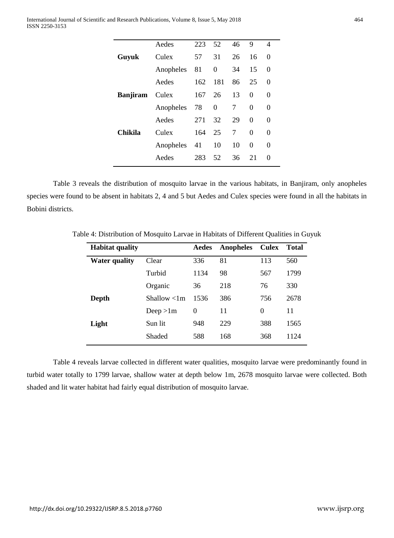|                 | Aedes     | 223 | 52       | 46 | 9        | 4                 |
|-----------------|-----------|-----|----------|----|----------|-------------------|
| Guyuk           | Culex     | 57  | 31       | 26 | 16       | 0                 |
|                 | Anopheles | 81  | 0        | 34 | 15       | 0                 |
|                 | Aedes     | 162 | 181      | 86 | 25       | 0                 |
| <b>Banjiram</b> | Culex     | 167 | 26       | 13 | 0        | 0                 |
|                 | Anopheles | 78  | $\theta$ | 7  | 0        | $\theta$          |
|                 | Aedes     | 271 | 32       | 29 | 0        | 0                 |
|                 |           |     |          |    |          |                   |
| Chikila         | Culex     | 164 | 25       | 7  | $\Omega$ | 0                 |
|                 | Anopheles | 41  | 10       | 10 | 0        | $\theta$          |
|                 | Aedes     | 283 | 52       | 36 | 21       | $\mathbf{\Omega}$ |

Table 3 reveals the distribution of mosquito larvae in the various habitats, in Banjiram, only anopheles species were found to be absent in habitats 2, 4 and 5 but Aedes and Culex species were found in all the habitats in Bobini districts.

| <b>Habitat quality</b> |              | Aedes    | Anopheles | <b>Culex</b> | <b>Total</b> |
|------------------------|--------------|----------|-----------|--------------|--------------|
| <b>Water quality</b>   | Clear        | 336      | 81        | 113          | 560          |
|                        | Turbid       | 1134     | 98        | 567          | 1799         |
|                        | Organic      | 36       | 218       | 76           | 330          |
| Depth                  | Shallow < 1m | 1536     | 386       | 756          | 2678         |
|                        | Deep $>1m$   | $\Omega$ | 11        | $\Omega$     | 11           |
| Light                  | Sun lit      | 948      | 229       | 388          | 1565         |
|                        | Shaded       | 588      | 168       | 368          | 1124         |

Table 4: Distribution of Mosquito Larvae in Habitats of Different Qualities in Guyuk

Table 4 reveals larvae collected in different water qualities, mosquito larvae were predominantly found in turbid water totally to 1799 larvae, shallow water at depth below 1m, 2678 mosquito larvae were collected. Both shaded and lit water habitat had fairly equal distribution of mosquito larvae.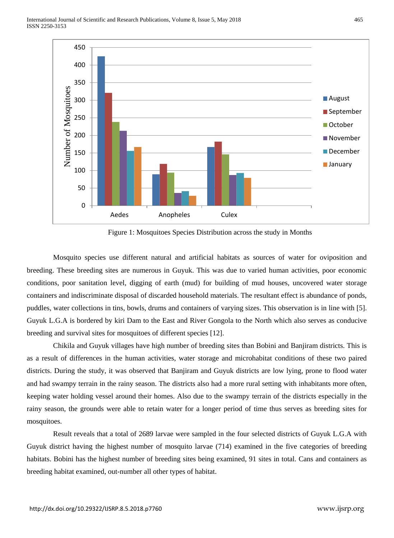

Figure 1: Mosquitoes Species Distribution across the study in Months

Mosquito species use different natural and artificial habitats as sources of water for oviposition and breeding. These breeding sites are numerous in Guyuk. This was due to varied human activities, poor economic conditions, poor sanitation level, digging of earth (mud) for building of mud houses, uncovered water storage containers and indiscriminate disposal of discarded household materials. The resultant effect is abundance of ponds, puddles, water collections in tins, bowls, drums and containers of varying sizes. This observation is in line with [5]. Guyuk L.G.A is bordered by kiri Dam to the East and River Gongola to the North which also serves as conducive breeding and survival sites for mosquitoes of different species [12].

Chikila and Guyuk villages have high number of breeding sites than Bobini and Banjiram districts. This is as a result of differences in the human activities, water storage and microhabitat conditions of these two paired districts. During the study, it was observed that Banjiram and Guyuk districts are low lying, prone to flood water and had swampy terrain in the rainy season. The districts also had a more rural setting with inhabitants more often, keeping water holding vessel around their homes. Also due to the swampy terrain of the districts especially in the rainy season, the grounds were able to retain water for a longer period of time thus serves as breeding sites for mosquitoes.

Result reveals that a total of 2689 larvae were sampled in the four selected districts of Guyuk L.G.A with Guyuk district having the highest number of mosquito larvae (714) examined in the five categories of breeding habitats. Bobini has the highest number of breeding sites being examined, 91 sites in total. Cans and containers as breeding habitat examined, out-number all other types of habitat.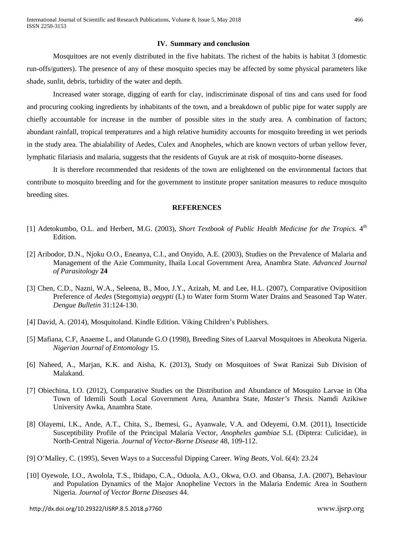### **IV. Summary and conclusion**

Mosquitoes are not evenly distributed in the five habitats. The richest of the habits is habitat 3 (domestic run-offs/gutters). The presence of any of these mosquito species may be affected by some physical parameters like shade, sunlit, debris, turbidity of the water and depth.

Increased water storage, digging of earth for clay, indiscriminate disposal of tins and cans used for food and procuring cooking ingredients by inhabitants of the town, and a breakdown of public pipe for water supply are chiefly accountable for increase in the number of possible sites in the study area. A combination of factors; abundant rainfall, tropical temperatures and a high relative humidity accounts for mosquito breeding in wet periods in the study area. The abialability of Aedes, Culex and Anopheles, which are known vectors of urban yellow fever, lymphatic filariasis and malaria, suggests that the residents of Guyuk are at risk of mosquito-borne diseases.

It is therefore recommended that residents of the town are enlightened on the environmental factors that contribute to mosquito breeding and for the government to institute proper sanitation measures to reduce mosquito breeding sites.

#### **REFERENCES**

- [1] Adetokumbo, O.L. and Herbert, M.G. (2003), *Short Textbook of Public Health Medicine for the Tropics*. 4<sup>th</sup> Edition.
- [2] Aribodor, D.N., Njoku O.O., Eneanya, C.I., and Onyido, A.E. (2003), Studies on the Prevalence of Malaria and Management of the Azie Community, Ihaila Local Government Area, Anambra State. *Advanced Journal of Parasitology* **24**
- [3] Chen, C.D., Nazni, W.A., Seleena, B., Moo, J.Y., Azizah, M. and Lee, H.L. (2007), Comparative Ovipositiion Preference of *Aedes* (Stegomyia) *aegypti* (L) to Water form Storm Water Drains and Seasoned Tap Water. *Dengue Bulletin* 31:124-130.
- [4] David, A. (2014), Mosquitoland. Kindle Edition. Viking Children's Publishers.
- [5] Mafiana, C.F, Anaeme L, and Olatunde G.O (1998), Breeding Sites of Laarval Mosquitoes in Abeokuta Nigeria. *Nigerian Journal of Entomology* 15.
- [6] Naheed, A., Marjan, K.K. and Aisha, K. (2013), Study on Mosquitoes of Swat Ranizai Sub Division of Malakand.
- [7] Obiechina, I.O. (2012), Comparative Studies on the Distribution and Abundance of Mosquito Larvae in Oba Town of Idemili South Local Government Area, Anambra State, *Master's Thesis.* Namdi Azikiwe University Awka, Anambra State.
- [8] Olayemi, I.K., Ande, A.T., Chita, S., Ibemesi, G., Ayanwale, V.A. and Odeyemi, O.M. (2011), Insecticide Susceptibility Profile of the Principal Malaria Vector, *Anopheles gambiae* S.L (Diptera: Culicidae), in North-Central Nigeria. *Journal of Vector-Borne Disease* 48, 109-112.
- [9] O'Malley, C. (1995), Seven Ways to a Successful Dipping Career. *Wing Beats,* Vol. 6(4): 23.24
- [10] Oyewole, I.O., Awolola, T.S., Ibidapo, C.A., Oduola, A.O., Okwa, O.O. and Obansa, J.A. (2007), Behaviour and Population Dynamics of the Major Anopheline Vectors in the Malaria Endemic Area in Southern Nigeria. *Journal of Vector Borne Diseases* 44.